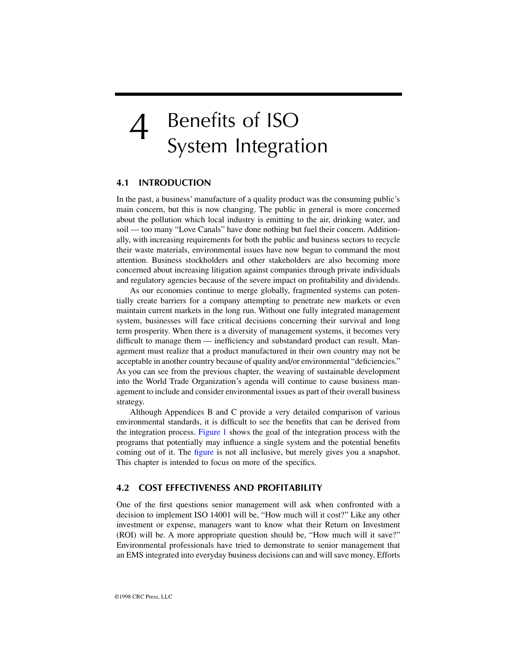# 4 Benefits of ISO System Integration

## **4.1 INTRODUCTION**

In the past, a business' manufacture of a quality product was the consuming public's main concern, but this is now changing. The public in general is more concerned about the pollution which local industry is emitting to the air, drinking water, and soil — too many "Love Canals" have done nothing but fuel their concern. Additionally, with increasing requirements for both the public and business sectors to recycle their waste materials, environmental issues have now begun to command the most attention. Business stockholders and other stakeholders are also becoming more concerned about increasing litigation against companies through private individuals and regulatory agencies because of the severe impact on profitability and dividends.

As our economies continue to merge globally, fragmented systems can potentially create barriers for a company attempting to penetrate new markets or even maintain current markets in the long run. Without one fully integrated management system, businesses will face critical decisions concerning their survival and long term prosperity. When there is a diversity of management systems, it becomes very difficult to manage them — inefficiency and substandard product can result. Management must realize that a product manufactured in their own country may not be acceptable in another country because of quality and/or environmental "deficiencies." As you can see from the previous chapter, the weaving of sustainable development into the World Trade Organization's agenda will continue to cause business management to include and consider environmental issues as part of their overall business strategy.

Although Appendices B and C provide a very detailed comparison of various environmental standards, it is difficult to see the benefits that can be derived from the integration process. [Figure](#page-1-0) 1 shows the goal of the integration process with the programs that potentially may influence a single system and the potential benefits coming out of it. The [figure](#page-1-0) is not all inclusive, but merely gives you a snapshot. This chapter is intended to focus on more of the specifics.

## **4.2 COST EFFECTIVENESS AND PROFITABILITY**

One of the first questions senior management will ask when confronted with a decision to implement ISO 14001 will be, "How much will it cost?" Like any other investment or expense, managers want to know what their Return on Investment (ROI) will be. A more appropriate question should be, "How much will it save?" Environmental professionals have tried to demonstrate to senior management that an EMS integrated into everyday business decisions can and will save money. Efforts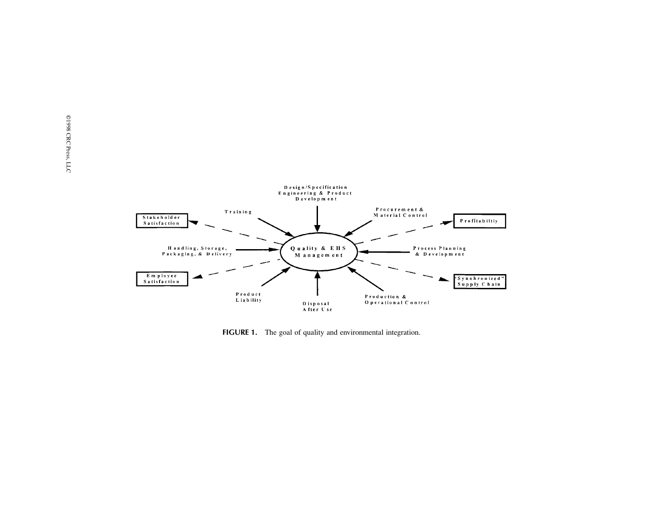<span id="page-1-0"></span>

**FIGURE 1.** The goal of quality and environmental integration.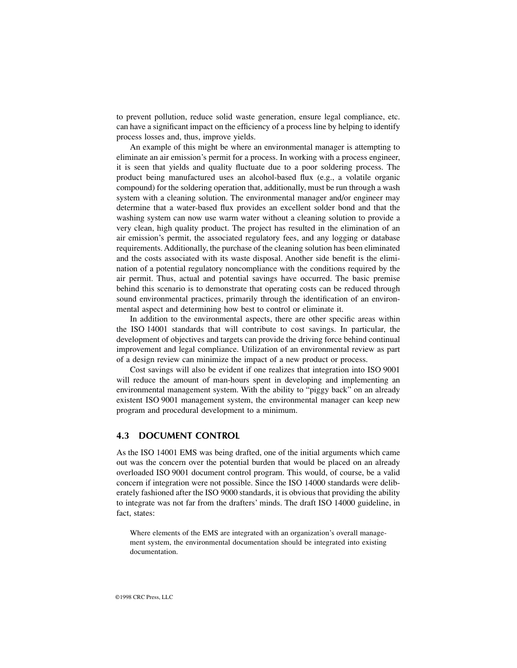to prevent pollution, reduce solid waste generation, ensure legal compliance, etc. can have a significant impact on the efficiency of a process line by helping to identify process losses and, thus, improve yields.

An example of this might be where an environmental manager is attempting to eliminate an air emission's permit for a process. In working with a process engineer, it is seen that yields and quality fluctuate due to a poor soldering process. The product being manufactured uses an alcohol-based flux (e.g., a volatile organic compound) for the soldering operation that, additionally, must be run through a wash system with a cleaning solution. The environmental manager and/or engineer may determine that a water-based flux provides an excellent solder bond and that the washing system can now use warm water without a cleaning solution to provide a very clean, high quality product. The project has resulted in the elimination of an air emission's permit, the associated regulatory fees, and any logging or database requirements. Additionally, the purchase of the cleaning solution has been eliminated and the costs associated with its waste disposal. Another side benefit is the elimination of a potential regulatory noncompliance with the conditions required by the air permit. Thus, actual and potential savings have occurred. The basic premise behind this scenario is to demonstrate that operating costs can be reduced through sound environmental practices, primarily through the identification of an environmental aspect and determining how best to control or eliminate it.

In addition to the environmental aspects, there are other specific areas within the ISO 14001 standards that will contribute to cost savings. In particular, the development of objectives and targets can provide the driving force behind continual improvement and legal compliance. Utilization of an environmental review as part of a design review can minimize the impact of a new product or process.

Cost savings will also be evident if one realizes that integration into ISO 9001 will reduce the amount of man-hours spent in developing and implementing an environmental management system. With the ability to "piggy back" on an already existent ISO 9001 management system, the environmental manager can keep new program and procedural development to a minimum.

#### **4.3 DOCUMENT CONTROL**

As the ISO 14001 EMS was being drafted, one of the initial arguments which came out was the concern over the potential burden that would be placed on an already overloaded ISO 9001 document control program. This would, of course, be a valid concern if integration were not possible. Since the ISO 14000 standards were deliberately fashioned after the ISO 9000 standards, it is obvious that providing the ability to integrate was not far from the drafters' minds. The draft ISO 14000 guideline, in fact, states:

Where elements of the EMS are integrated with an organization's overall management system, the environmental documentation should be integrated into existing documentation.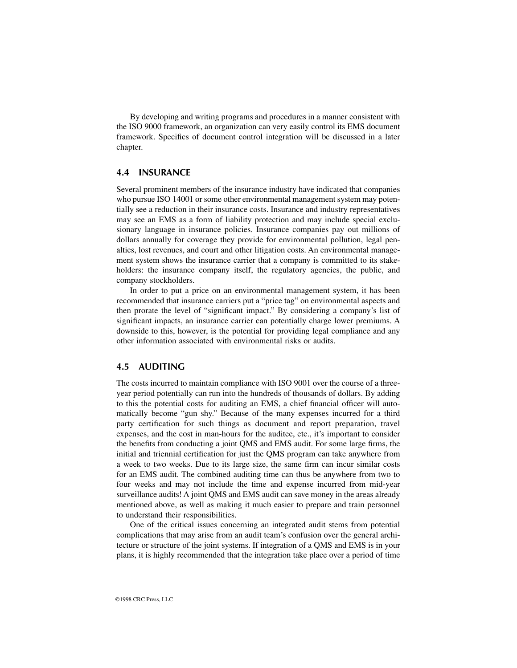By developing and writing programs and procedures in a manner consistent with the ISO 9000 framework, an organization can very easily control its EMS document framework. Specifics of document control integration will be discussed in a later chapter.

#### **4.4 INSURANCE**

Several prominent members of the insurance industry have indicated that companies who pursue ISO 14001 or some other environmental management system may potentially see a reduction in their insurance costs. Insurance and industry representatives may see an EMS as a form of liability protection and may include special exclusionary language in insurance policies. Insurance companies pay out millions of dollars annually for coverage they provide for environmental pollution, legal penalties, lost revenues, and court and other litigation costs. An environmental management system shows the insurance carrier that a company is committed to its stakeholders: the insurance company itself, the regulatory agencies, the public, and company stockholders.

In order to put a price on an environmental management system, it has been recommended that insurance carriers put a "price tag" on environmental aspects and then prorate the level of "significant impact." By considering a company's list of significant impacts, an insurance carrier can potentially charge lower premiums. A downside to this, however, is the potential for providing legal compliance and any other information associated with environmental risks or audits.

#### **4.5 AUDITING**

The costs incurred to maintain compliance with ISO 9001 over the course of a threeyear period potentially can run into the hundreds of thousands of dollars. By adding to this the potential costs for auditing an EMS, a chief financial officer will automatically become "gun shy." Because of the many expenses incurred for a third party certification for such things as document and report preparation, travel expenses, and the cost in man-hours for the auditee, etc., it's important to consider the benefits from conducting a joint QMS and EMS audit. For some large firms, the initial and triennial certification for just the QMS program can take anywhere from a week to two weeks. Due to its large size, the same firm can incur similar costs for an EMS audit. The combined auditing time can thus be anywhere from two to four weeks and may not include the time and expense incurred from mid-year surveillance audits! A joint QMS and EMS audit can save money in the areas already mentioned above, as well as making it much easier to prepare and train personnel to understand their responsibilities.

One of the critical issues concerning an integrated audit stems from potential complications that may arise from an audit team's confusion over the general architecture or structure of the joint systems. If integration of a QMS and EMS is in your plans, it is highly recommended that the integration take place over a period of time